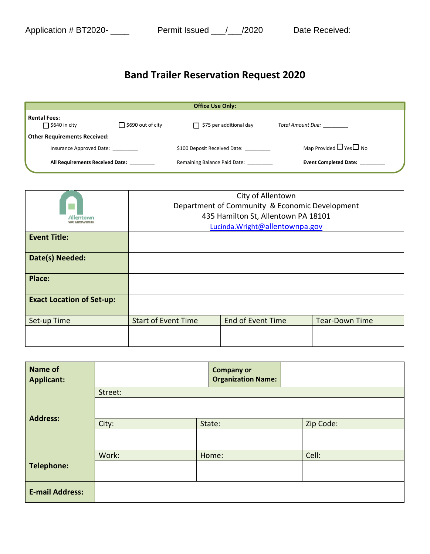## **Band Trailer Reservation Request 2020**

|                                             |                          | <b>Office Use Only:</b>        |                                   |
|---------------------------------------------|--------------------------|--------------------------------|-----------------------------------|
| <b>Rental Fees:</b><br>$\Box$ \$640 in city | $\Box$ \$690 out of city | $\Box$ \$75 per additional day | Total Amount Due:                 |
| <b>Other Requirements Received:</b>         |                          |                                |                                   |
| Insurance Approved Date:                    |                          | \$100 Deposit Received Date:   | Map Provided $\Box$ Yes $\Box$ No |
| All Requirements Received Date:             |                          | Remaining Balance Paid Date:   | <b>Event Completed Date:</b>      |

| Allantown                        | City of Allentown<br>Department of Community & Economic Development<br>435 Hamilton St, Allentown PA 18101 |                          |                       |
|----------------------------------|------------------------------------------------------------------------------------------------------------|--------------------------|-----------------------|
|                                  | Lucinda.Wright@allentownpa.gov                                                                             |                          |                       |
| <b>Event Title:</b>              |                                                                                                            |                          |                       |
| Date(s) Needed:                  |                                                                                                            |                          |                       |
| Place:                           |                                                                                                            |                          |                       |
| <b>Exact Location of Set-up:</b> |                                                                                                            |                          |                       |
| Set-up Time                      | <b>Start of Event Time</b>                                                                                 | <b>End of Event Time</b> | <b>Tear-Down Time</b> |
|                                  |                                                                                                            |                          |                       |

| <b>Name of</b><br><b>Applicant:</b> |         | <b>Company or</b><br><b>Organization Name:</b> |  |           |
|-------------------------------------|---------|------------------------------------------------|--|-----------|
|                                     | Street: |                                                |  |           |
| <b>Address:</b>                     |         |                                                |  |           |
|                                     | City:   | State:                                         |  | Zip Code: |
|                                     |         |                                                |  |           |
| <b>Telephone:</b>                   | Work:   | Home:                                          |  | Cell:     |
|                                     |         |                                                |  |           |
| <b>E-mail Address:</b>              |         |                                                |  |           |